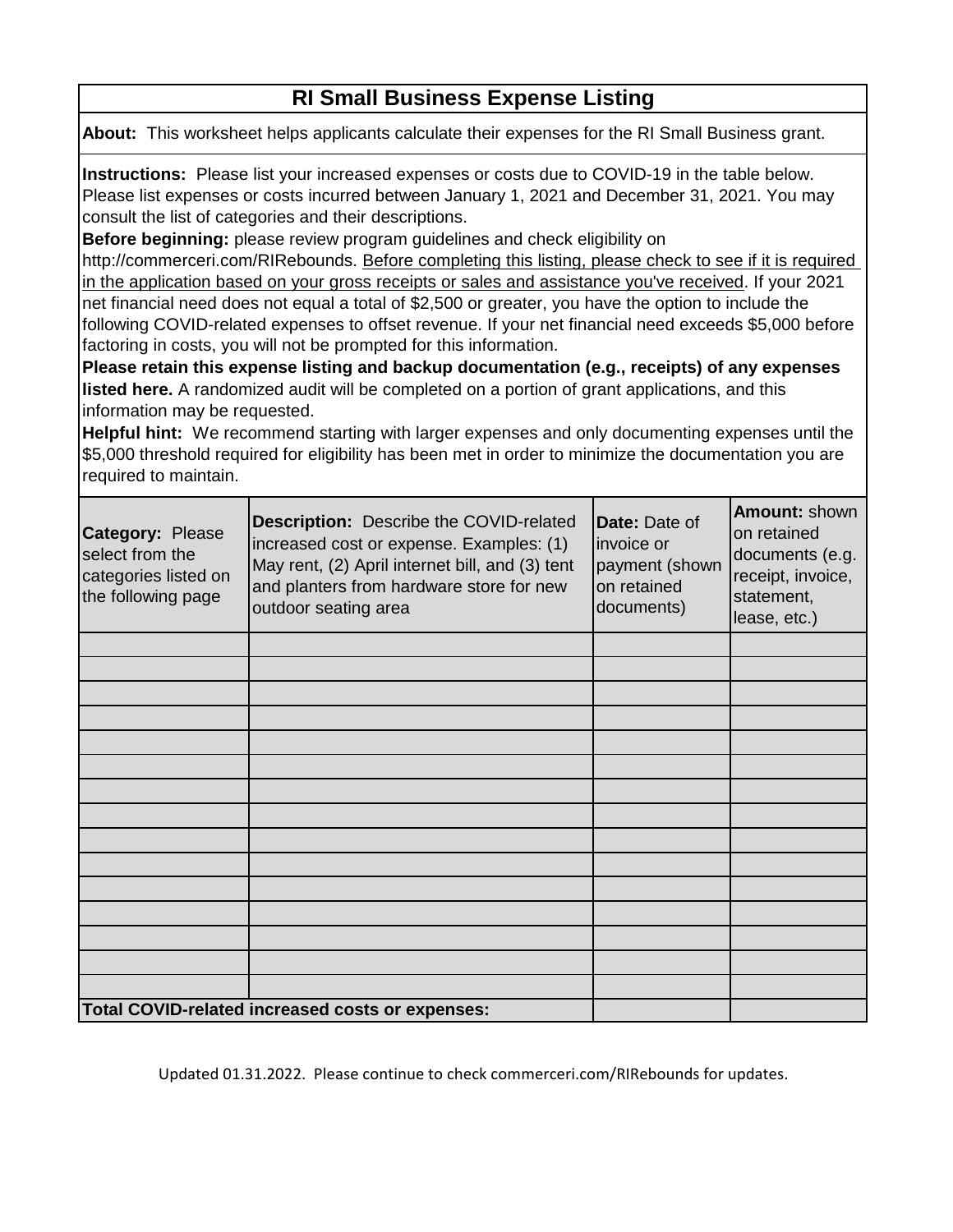## **RI Small Business Expense Listing**

**[About:](https://commerceri.com/reliefgrant.)** [This workshee](https://commerceri.com/reliefgrant.)t helps applicants calculate their expenses for the RI Small Business grant.

**Instructions:** Please list your increased expenses or costs due to COVID-19 in the table below. Please list expenses or costs incurred between January 1, 2021 and December 31, 2021. You may consult the list of categories and their descriptions.

**Before beginning:** please review program guidelines and check eligibility on

http://commerceri.com/RIRebounds. Before completing this listing, please check to see if it is required in the application based on your gross receipts or sales and assistance you've received. If your 2021 net financial need does not equal a total of \$2,500 or greater, you have the option to include the following COVID-related expenses to offset revenue. If your net financial need exceeds \$5,000 before factoring in costs, you will not be prompted for this information.

**Please retain this expense listing and backup documentation (e.g., receipts) of any expenses listed here.** A randomized audit will be completed on a portion of grant applications, and this information may be requested.

**Helpful hint:** We recommend starting with larger expenses and only documenting expenses until the \$5,000 threshold required for eligibility has been met in order to minimize the documentation you are required to maintain.

| <b>Category: Please</b><br>select from the<br>categories listed on<br>the following page | <b>Description:</b> Describe the COVID-related<br>increased cost or expense. Examples: (1)<br>May rent, (2) April internet bill, and (3) tent<br>and planters from hardware store for new<br>outdoor seating area | Date: Date of<br>invoice or<br>payment (shown<br>on retained<br>documents) | Amount: shown<br>on retained<br>documents (e.g.<br>receipt, invoice,<br>statement,<br>lease, etc.) |
|------------------------------------------------------------------------------------------|-------------------------------------------------------------------------------------------------------------------------------------------------------------------------------------------------------------------|----------------------------------------------------------------------------|----------------------------------------------------------------------------------------------------|
|                                                                                          |                                                                                                                                                                                                                   |                                                                            |                                                                                                    |
|                                                                                          |                                                                                                                                                                                                                   |                                                                            |                                                                                                    |
|                                                                                          |                                                                                                                                                                                                                   |                                                                            |                                                                                                    |
|                                                                                          |                                                                                                                                                                                                                   |                                                                            |                                                                                                    |
|                                                                                          |                                                                                                                                                                                                                   |                                                                            |                                                                                                    |
|                                                                                          |                                                                                                                                                                                                                   |                                                                            |                                                                                                    |
|                                                                                          |                                                                                                                                                                                                                   |                                                                            |                                                                                                    |
|                                                                                          |                                                                                                                                                                                                                   |                                                                            |                                                                                                    |
|                                                                                          |                                                                                                                                                                                                                   |                                                                            |                                                                                                    |
|                                                                                          |                                                                                                                                                                                                                   |                                                                            |                                                                                                    |
|                                                                                          |                                                                                                                                                                                                                   |                                                                            |                                                                                                    |
|                                                                                          |                                                                                                                                                                                                                   |                                                                            |                                                                                                    |
|                                                                                          |                                                                                                                                                                                                                   |                                                                            |                                                                                                    |
|                                                                                          |                                                                                                                                                                                                                   |                                                                            |                                                                                                    |
|                                                                                          |                                                                                                                                                                                                                   |                                                                            |                                                                                                    |
|                                                                                          | Total COVID-related increased costs or expenses:                                                                                                                                                                  |                                                                            |                                                                                                    |

Updated 01.31.2022. Please continue to check commerceri.com/RIRebounds for updates.